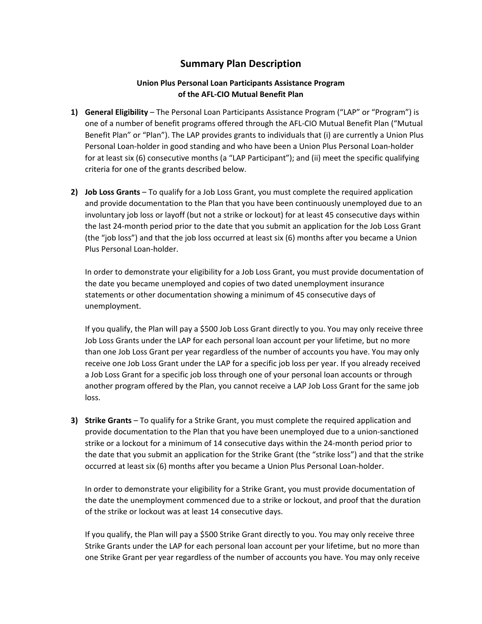## **Summary Plan Description**

## **Union Plus Personal Loan Participants Assistance Program of the AFL‐CIO Mutual Benefit Plan**

- **1) General Eligibility** The Personal Loan Participants Assistance Program ("LAP" or "Program") is one of a number of benefit programs offered through the AFL‐CIO Mutual Benefit Plan ("Mutual Benefit Plan" or "Plan"). The LAP provides grants to individuals that (i) are currently a Union Plus Personal Loan‐holder in good standing and who have been a Union Plus Personal Loan‐holder for at least six (6) consecutive months (a "LAP Participant"); and (ii) meet the specific qualifying criteria for one of the grants described below.
- **2) Job Loss Grants** To qualify for a Job Loss Grant, you must complete the required application and provide documentation to the Plan that you have been continuously unemployed due to an involuntary job loss or layoff (but not a strike or lockout) for at least 45 consecutive days within the last 24‐month period prior to the date that you submit an application for the Job Loss Grant (the "job loss") and that the job loss occurred at least six (6) months after you became a Union Plus Personal Loan‐holder.

In order to demonstrate your eligibility for a Job Loss Grant, you must provide documentation of the date you became unemployed and copies of two dated unemployment insurance statements or other documentation showing a minimum of 45 consecutive days of unemployment.

If you qualify, the Plan will pay a \$500 Job Loss Grant directly to you. You may only receive three Job Loss Grants under the LAP for each personal loan account per your lifetime, but no more than one Job Loss Grant per year regardless of the number of accounts you have. You may only receive one Job Loss Grant under the LAP for a specific job loss per year. If you already received a Job Loss Grant for a specific job loss through one of your personal loan accounts or through another program offered by the Plan, you cannot receive a LAP Job Loss Grant for the same job loss.

**3) Strike Grants** – To qualify for a Strike Grant, you must complete the required application and provide documentation to the Plan that you have been unemployed due to a union‐sanctioned strike or a lockout for a minimum of 14 consecutive days within the 24‐month period prior to the date that you submit an application for the Strike Grant (the "strike loss") and that the strike occurred at least six (6) months after you became a Union Plus Personal Loan‐holder.

In order to demonstrate your eligibility for a Strike Grant, you must provide documentation of the date the unemployment commenced due to a strike or lockout, and proof that the duration of the strike or lockout was at least 14 consecutive days.

If you qualify, the Plan will pay a \$500 Strike Grant directly to you. You may only receive three Strike Grants under the LAP for each personal loan account per your lifetime, but no more than one Strike Grant per year regardless of the number of accounts you have. You may only receive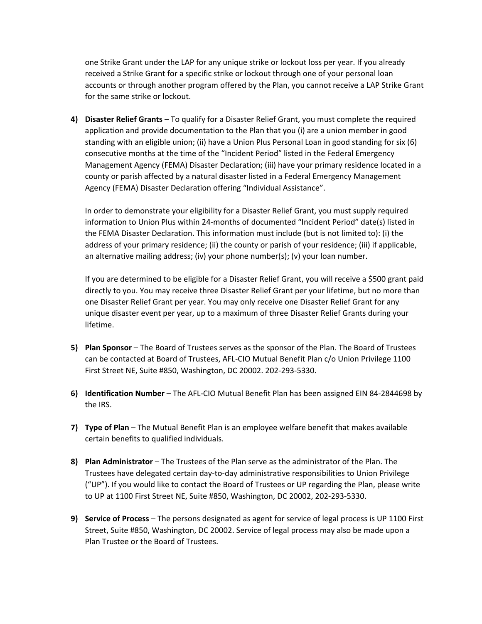one Strike Grant under the LAP for any unique strike or lockout loss per year. If you already received a Strike Grant for a specific strike or lockout through one of your personal loan accounts or through another program offered by the Plan, you cannot receive a LAP Strike Grant for the same strike or lockout.

**4) Disaster Relief Grants** – To qualify for a Disaster Relief Grant, you must complete the required application and provide documentation to the Plan that you (i) are a union member in good standing with an eligible union; (ii) have a Union Plus Personal Loan in good standing for six (6) consecutive months at the time of the "Incident Period" listed in the Federal Emergency Management Agency (FEMA) Disaster Declaration; (iii) have your primary residence located in a county or parish affected by a natural disaster listed in a Federal Emergency Management Agency (FEMA) Disaster Declaration offering "Individual Assistance".

In order to demonstrate your eligibility for a Disaster Relief Grant, you must supply required information to Union Plus within 24‐months of documented "Incident Period" date(s) listed in the FEMA Disaster Declaration. This information must include (but is not limited to): (i) the address of your primary residence; (ii) the county or parish of your residence; (iii) if applicable, an alternative mailing address; (iv) your phone number(s); (v) your loan number.

If you are determined to be eligible for a Disaster Relief Grant, you will receive a \$500 grant paid directly to you. You may receive three Disaster Relief Grant per your lifetime, but no more than one Disaster Relief Grant per year. You may only receive one Disaster Relief Grant for any unique disaster event per year, up to a maximum of three Disaster Relief Grants during your lifetime.

- **5) Plan Sponsor** The Board of Trustees serves as the sponsor of the Plan. The Board of Trustees can be contacted at Board of Trustees, AFL‐CIO Mutual Benefit Plan c/o Union Privilege 1100 First Street NE, Suite #850, Washington, DC 20002. 202‐293‐5330.
- **6) Identification Number** The AFL‐CIO Mutual Benefit Plan has been assigned EIN 84‐2844698 by the IRS.
- **7) Type of Plan** The Mutual Benefit Plan is an employee welfare benefit that makes available certain benefits to qualified individuals.
- **8) Plan Administrator** The Trustees of the Plan serve as the administrator of the Plan. The Trustees have delegated certain day‐to‐day administrative responsibilities to Union Privilege ("UP"). If you would like to contact the Board of Trustees or UP regarding the Plan, please write to UP at 1100 First Street NE, Suite #850, Washington, DC 20002, 202‐293‐5330.
- **9) Service of Process** The persons designated as agent for service of legal process is UP 1100 First Street, Suite #850, Washington, DC 20002. Service of legal process may also be made upon a Plan Trustee or the Board of Trustees.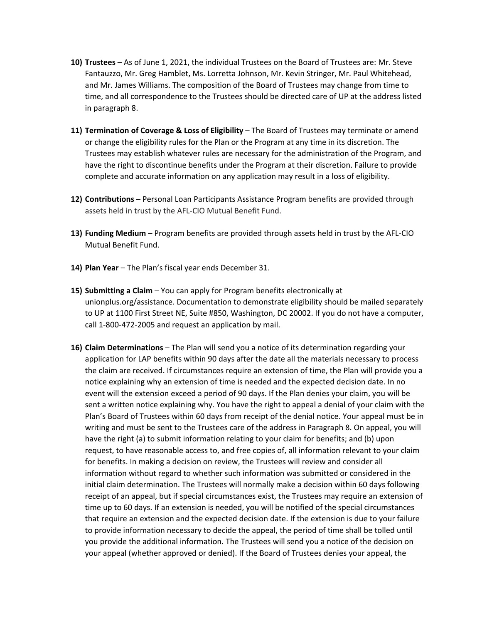- **10) Trustees** As of June 1, 2021, the individual Trustees on the Board of Trustees are: Mr. Steve Fantauzzo, Mr. Greg Hamblet, Ms. Lorretta Johnson, Mr. Kevin Stringer, Mr. Paul Whitehead, and Mr. James Williams. The composition of the Board of Trustees may change from time to time, and all correspondence to the Trustees should be directed care of UP at the address listed in paragraph 8.
- **11) Termination of Coverage & Loss of Eligibility** The Board of Trustees may terminate or amend or change the eligibility rules for the Plan or the Program at any time in its discretion. The Trustees may establish whatever rules are necessary for the administration of the Program, and have the right to discontinue benefits under the Program at their discretion. Failure to provide complete and accurate information on any application may result in a loss of eligibility.
- **12) Contributions** Personal Loan Participants Assistance Program benefits are provided through assets held in trust by the AFL‐CIO Mutual Benefit Fund.
- **13) Funding Medium** Program benefits are provided through assets held in trust by the AFL‐CIO Mutual Benefit Fund.
- **14) Plan Year** The Plan's fiscal year ends December 31.
- **15) Submitting a Claim** You can apply for Program benefits electronically at unionplus.org/assistance. Documentation to demonstrate eligibility should be mailed separately to UP at 1100 First Street NE, Suite #850, Washington, DC 20002. If you do not have a computer, call 1‐800‐472‐2005 and request an application by mail.
- **16) Claim Determinations** The Plan will send you a notice of its determination regarding your application for LAP benefits within 90 days after the date all the materials necessary to process the claim are received. If circumstances require an extension of time, the Plan will provide you a notice explaining why an extension of time is needed and the expected decision date. In no event will the extension exceed a period of 90 days. If the Plan denies your claim, you will be sent a written notice explaining why. You have the right to appeal a denial of your claim with the Plan's Board of Trustees within 60 days from receipt of the denial notice. Your appeal must be in writing and must be sent to the Trustees care of the address in Paragraph 8. On appeal, you will have the right (a) to submit information relating to your claim for benefits; and (b) upon request, to have reasonable access to, and free copies of, all information relevant to your claim for benefits. In making a decision on review, the Trustees will review and consider all information without regard to whether such information was submitted or considered in the initial claim determination. The Trustees will normally make a decision within 60 days following receipt of an appeal, but if special circumstances exist, the Trustees may require an extension of time up to 60 days. If an extension is needed, you will be notified of the special circumstances that require an extension and the expected decision date. If the extension is due to your failure to provide information necessary to decide the appeal, the period of time shall be tolled until you provide the additional information. The Trustees will send you a notice of the decision on your appeal (whether approved or denied). If the Board of Trustees denies your appeal, the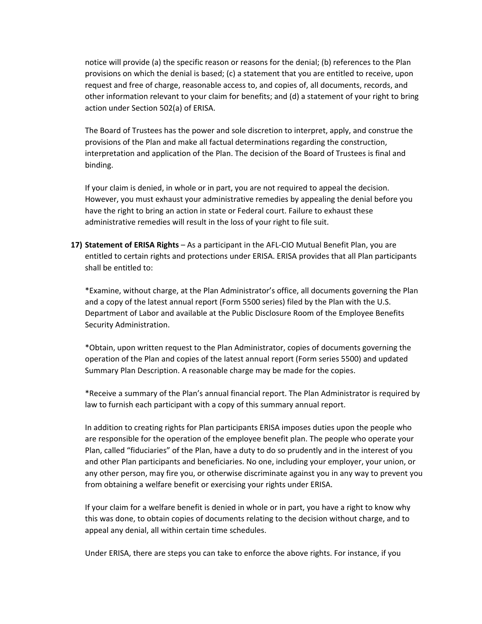notice will provide (a) the specific reason or reasons for the denial; (b) references to the Plan provisions on which the denial is based; (c) a statement that you are entitled to receive, upon request and free of charge, reasonable access to, and copies of, all documents, records, and other information relevant to your claim for benefits; and (d) a statement of your right to bring action under Section 502(a) of ERISA.

The Board of Trustees has the power and sole discretion to interpret, apply, and construe the provisions of the Plan and make all factual determinations regarding the construction, interpretation and application of the Plan. The decision of the Board of Trustees is final and binding.

If your claim is denied, in whole or in part, you are not required to appeal the decision. However, you must exhaust your administrative remedies by appealing the denial before you have the right to bring an action in state or Federal court. Failure to exhaust these administrative remedies will result in the loss of your right to file suit.

**17) Statement of ERISA Rights** – As a participant in the AFL‐CIO Mutual Benefit Plan, you are entitled to certain rights and protections under ERISA. ERISA provides that all Plan participants shall be entitled to:

\*Examine, without charge, at the Plan Administrator's office, all documents governing the Plan and a copy of the latest annual report (Form 5500 series) filed by the Plan with the U.S. Department of Labor and available at the Public Disclosure Room of the Employee Benefits Security Administration.

\*Obtain, upon written request to the Plan Administrator, copies of documents governing the operation of the Plan and copies of the latest annual report (Form series 5500) and updated Summary Plan Description. A reasonable charge may be made for the copies.

\*Receive a summary of the Plan's annual financial report. The Plan Administrator is required by law to furnish each participant with a copy of this summary annual report.

In addition to creating rights for Plan participants ERISA imposes duties upon the people who are responsible for the operation of the employee benefit plan. The people who operate your Plan, called "fiduciaries" of the Plan, have a duty to do so prudently and in the interest of you and other Plan participants and beneficiaries. No one, including your employer, your union, or any other person, may fire you, or otherwise discriminate against you in any way to prevent you from obtaining a welfare benefit or exercising your rights under ERISA.

If your claim for a welfare benefit is denied in whole or in part, you have a right to know why this was done, to obtain copies of documents relating to the decision without charge, and to appeal any denial, all within certain time schedules.

Under ERISA, there are steps you can take to enforce the above rights. For instance, if you